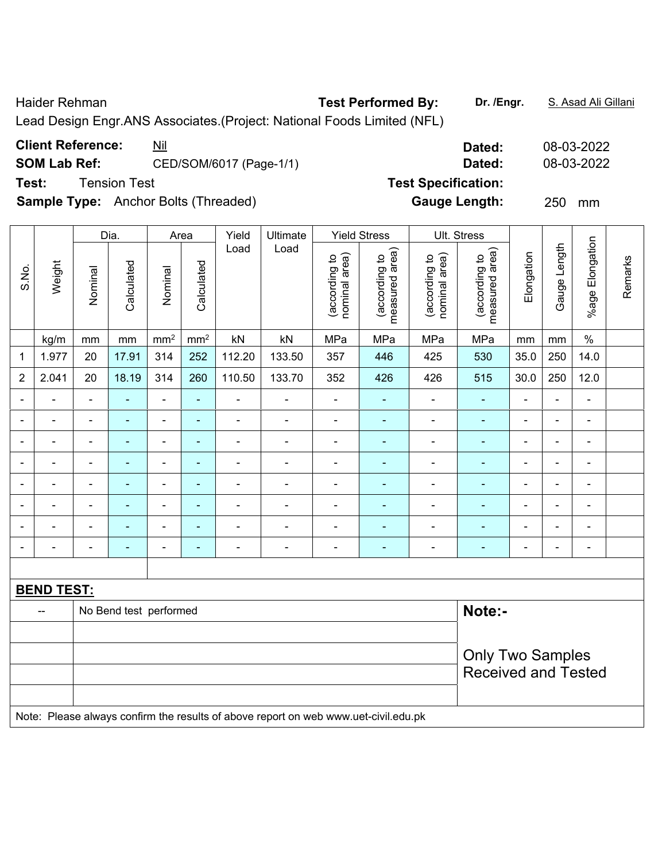| Test:                    | <b>Client Reference:</b><br><b>SOM Lab Ref:</b> |                                  | <b>Tension Test</b>                                   | <u>Nil</u>                   |                          | CED/SOM/6017 (Page-1/1)                     |                                                                                     | Dated:<br>08-03-2022<br>08-03-2022<br>Dated:<br><b>Test Specification:</b> |                                 |                                |                                 |                              |                |                              |         |
|--------------------------|-------------------------------------------------|----------------------------------|-------------------------------------------------------|------------------------------|--------------------------|---------------------------------------------|-------------------------------------------------------------------------------------|----------------------------------------------------------------------------|---------------------------------|--------------------------------|---------------------------------|------------------------------|----------------|------------------------------|---------|
|                          |                                                 |                                  |                                                       |                              |                          | <b>Sample Type:</b> Anchor Bolts (Threaded) |                                                                                     |                                                                            |                                 |                                | <b>Gauge Length:</b>            |                              | 250            | mm                           |         |
|                          |                                                 |                                  | Dia.                                                  |                              | Area                     | Yield                                       | Ultimate                                                                            |                                                                            | <b>Yield Stress</b>             |                                | Ult. Stress                     |                              |                |                              |         |
| S.No.                    | Weight                                          | Nominal                          | Calculated                                            | Nominal                      | Calculated               | Load                                        | Load                                                                                | nominal area)<br>(according to                                             | measured area)<br>(according to | (according to<br>nominal area) | measured area)<br>(according to | Elongation                   | Gauge Length   | %age Elongation              | Remarks |
|                          | kg/m                                            | mm                               | mm                                                    | mm <sup>2</sup>              | mm <sup>2</sup>          | kN                                          | kN                                                                                  | MPa                                                                        | MPa                             | MPa                            | MPa                             | mm                           | mm             | $\%$                         |         |
| 1                        | 1.977                                           | 20                               | 17.91                                                 | 314                          | 252                      | 112.20                                      | 133.50                                                                              | 357                                                                        | 446                             | 425                            | 530                             | 35.0                         | 250            | 14.0                         |         |
| $\overline{2}$           | 2.041                                           | 20                               | 18.19                                                 | 314                          | 260                      | 110.50                                      | 133.70                                                                              | 352                                                                        | 426                             | 426                            | 515                             | 30.0                         | 250            | 12.0                         |         |
| $\overline{\phantom{a}}$ |                                                 | $\blacksquare$                   | ÷,<br>٠<br>$\overline{\phantom{a}}$<br>$\blacksquare$ |                              |                          |                                             |                                                                                     | $\blacksquare$                                                             | $\blacksquare$                  | $\blacksquare$                 | $\blacksquare$                  | $\blacksquare$               | $\blacksquare$ | $\blacksquare$               |         |
| $\overline{\phantom{0}}$ | $\blacksquare$                                  | $\blacksquare$                   | $\blacksquare$                                        | ۰                            | ٠                        | $\blacksquare$                              | $\overline{\phantom{a}}$                                                            | $\blacksquare$                                                             | ۰                               | $\overline{a}$                 | ٠                               | $\blacksquare$               | $\blacksquare$ | $\overline{\phantom{a}}$     |         |
|                          |                                                 | $\blacksquare$                   |                                                       |                              |                          |                                             | $\blacksquare$                                                                      |                                                                            |                                 |                                | $\blacksquare$                  | $\blacksquare$               | $\blacksquare$ |                              |         |
| $\overline{\phantom{a}}$ |                                                 | $\blacksquare$                   |                                                       | $\qquad \qquad \blacksquare$ | ۰                        |                                             | $\overline{\phantom{0}}$                                                            |                                                                            | -                               | $\overline{\phantom{a}}$       | ٠                               | $\qquad \qquad \blacksquare$ | $\blacksquare$ | $\qquad \qquad \blacksquare$ |         |
| $\overline{\phantom{a}}$ |                                                 | $\blacksquare$                   | ٠                                                     | $\qquad \qquad \blacksquare$ | $\overline{\phantom{0}}$ | ۰                                           | $\overline{\phantom{a}}$                                                            | -                                                                          | ۰                               | $\overline{\phantom{a}}$       | ۰                               | $\blacksquare$               | $\blacksquare$ | $\blacksquare$               |         |
|                          |                                                 | $\blacksquare$                   |                                                       | ۰                            | $\overline{\phantom{0}}$ |                                             | $\overline{a}$                                                                      |                                                                            |                                 |                                | ۰                               | ۰                            | ٠              | $\blacksquare$               |         |
|                          |                                                 |                                  |                                                       |                              |                          | ÷                                           | $\blacksquare$                                                                      | ÷                                                                          |                                 |                                | $\blacksquare$                  | ٠                            | ٠              |                              |         |
|                          |                                                 |                                  |                                                       | -                            |                          | ۰                                           | -                                                                                   |                                                                            |                                 |                                | $\blacksquare$                  | $\qquad \qquad \blacksquare$ | ٠              | $\blacksquare$               |         |
|                          |                                                 |                                  |                                                       |                              |                          |                                             |                                                                                     |                                                                            |                                 |                                |                                 |                              |                |                              |         |
|                          | <b>BEND TEST:</b>                               |                                  |                                                       |                              |                          |                                             |                                                                                     |                                                                            |                                 |                                |                                 |                              |                |                              |         |
|                          | --                                              | Note:-<br>No Bend test performed |                                                       |                              |                          |                                             |                                                                                     |                                                                            |                                 |                                |                                 |                              |                |                              |         |
|                          |                                                 |                                  |                                                       |                              |                          |                                             |                                                                                     |                                                                            |                                 |                                |                                 |                              |                |                              |         |
|                          |                                                 |                                  |                                                       |                              |                          |                                             |                                                                                     |                                                                            |                                 |                                | <b>Only Two Samples</b>         |                              |                |                              |         |
|                          |                                                 |                                  |                                                       |                              |                          |                                             |                                                                                     |                                                                            |                                 |                                | <b>Received and Tested</b>      |                              |                |                              |         |
|                          |                                                 |                                  |                                                       |                              |                          |                                             |                                                                                     |                                                                            |                                 |                                |                                 |                              |                |                              |         |
|                          |                                                 |                                  |                                                       |                              |                          |                                             | Note: Please always confirm the results of above report on web www.uet-civil.edu.pk |                                                                            |                                 |                                |                                 |                              |                |                              |         |

Lead Design Engr.ANS Associates.(Project: National Foods Limited (NFL)

## Haider Rehman **Test Performed By: Dr. /Engr.** S. Asad Ali Gillani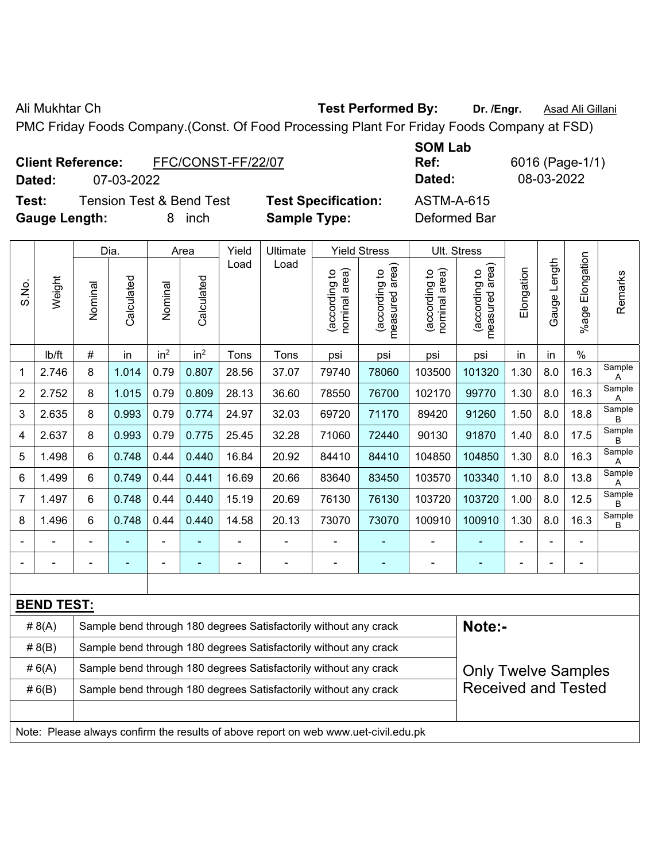Ali Mukhtar Ch **Test Performed By:** Dr. /Engr. **Asad Ali Gillani** Ali Ali Ali Gillani

PMC Friday Foods Company.(Const. Of Food Processing Plant For Friday Foods Company at FSD)

| <b>Client Reference:</b> | FFC/CONST-FF/22/07 |
|--------------------------|--------------------|
|                          |                    |

**Dated:** 07-03-2022 **Dated:** 08-03-2022

**Test:** Tension Test & Bend Test **Test Specification:** ASTM-A-615 **Gauge Length:** 8 inch **Sample Type:** Deformed Bar

**SOM Lab Ref:** 6016 (Page-1/1)

|                |                   |                                                                                                | Dia.           |                 | Area            | Yield          | Ultimate                                                                            |                                | <b>Yield Stress</b>             | Ult. Stress                    |                                 |                |              |                         |             |
|----------------|-------------------|------------------------------------------------------------------------------------------------|----------------|-----------------|-----------------|----------------|-------------------------------------------------------------------------------------|--------------------------------|---------------------------------|--------------------------------|---------------------------------|----------------|--------------|-------------------------|-------------|
| S.No.          | Weight            | Nominal                                                                                        | Calculated     | Nominal         | Calculated      | Load           | Load                                                                                | nominal area)<br>(according to | (according to<br>measured area) | nominal area)<br>(according to | (according to<br>measured area) | Elongation     | Gauge Length | Elongation<br>$%$ age l | Remarks     |
|                | Ib/ft             | $\#$                                                                                           | in             | in <sup>2</sup> | in <sup>2</sup> | Tons           | Tons                                                                                | psi                            | psi                             | psi                            | psi                             | in             | in           | $\%$                    |             |
| 1              | 2.746             | 8                                                                                              | 1.014          | 0.79            | 0.807           | 28.56          | 37.07                                                                               | 79740                          | 78060                           | 103500                         | 101320                          | 1.30           | 8.0          | 16.3                    | Sample<br>Α |
| 2              | 2.752             | 8                                                                                              | 1.015          | 0.79            | 0.809           | 28.13          | 36.60                                                                               | 78550                          | 76700                           | 102170                         | 99770                           | 1.30           | 8.0          | 16.3                    | Sample<br>Α |
| 3              | 2.635             | 8                                                                                              | 0.993          | 0.79            | 0.774           | 24.97          | 32.03                                                                               | 69720                          | 71170                           | 89420                          | 91260                           | 1.50           | 8.0          | 18.8                    | Sample<br>В |
| 4              | 2.637             | 8                                                                                              | 0.993          | 0.79            | 0.775           | 25.45          | 32.28                                                                               | 71060                          | 72440                           | 90130                          | 91870                           | 1.40           | 8.0          | 17.5                    | Sample<br>B |
| 5              | 1.498             | 6                                                                                              | 0.748          | 0.44            | 0.440           | 16.84          | 20.92                                                                               | 84410                          | 84410                           | 104850                         | 104850                          | 1.30           | 8.0          | 16.3                    | Sample<br>Α |
| 6              | 1.499             | 6                                                                                              | 0.749          | 0.44            | 0.441           | 16.69          | 20.66                                                                               | 83640                          | 83450                           | 103570                         | 103340                          | 1.10           | 8.0          | 13.8                    | Sample<br>A |
| $\overline{7}$ | 1.497             | 6                                                                                              | 0.748          | 0.44            | 0.440           | 15.19          | 20.69                                                                               | 76130                          | 76130                           | 103720                         | 103720                          | 1.00           | 8.0          | 12.5                    | Sample<br>B |
| 8              | 1.496             | 6                                                                                              | 0.748          | 0.44            | 0.440           | 14.58          | 20.13                                                                               | 73070                          | 73070                           | 100910                         | 100910                          | 1.30           | 8.0          | 16.3                    | Sample<br>B |
|                |                   | $\blacksquare$                                                                                 |                | $\blacksquare$  | $\blacksquare$  | $\overline{a}$ |                                                                                     | ÷                              | ٠                               | $\blacksquare$                 |                                 |                | ÷,           | $\blacksquare$          |             |
|                | ۰                 | $\blacksquare$                                                                                 | $\blacksquare$ | $\blacksquare$  | $\blacksquare$  | $\blacksquare$ | $\overline{\phantom{a}}$                                                            | $\overline{\phantom{a}}$       | $\blacksquare$                  | $\blacksquare$                 | ÷                               | $\blacksquare$ | ä,           | $\overline{a}$          |             |
|                |                   |                                                                                                |                |                 |                 |                |                                                                                     |                                |                                 |                                |                                 |                |              |                         |             |
|                | <b>BEND TEST:</b> |                                                                                                |                |                 |                 |                |                                                                                     |                                |                                 |                                |                                 |                |              |                         |             |
|                | # $8(A)$          |                                                                                                |                |                 |                 |                | Sample bend through 180 degrees Satisfactorily without any crack                    |                                |                                 |                                | Note:-                          |                |              |                         |             |
|                | # 8(B)            |                                                                                                |                |                 |                 |                | Sample bend through 180 degrees Satisfactorily without any crack                    |                                |                                 |                                |                                 |                |              |                         |             |
|                | # $6(A)$          | Sample bend through 180 degrees Satisfactorily without any crack<br><b>Only Twelve Samples</b> |                |                 |                 |                |                                                                                     |                                |                                 |                                |                                 |                |              |                         |             |
|                | # 6(B)            | <b>Received and Tested</b><br>Sample bend through 180 degrees Satisfactorily without any crack |                |                 |                 |                |                                                                                     |                                |                                 |                                |                                 |                |              |                         |             |
|                |                   |                                                                                                |                |                 |                 |                |                                                                                     |                                |                                 |                                |                                 |                |              |                         |             |
|                |                   |                                                                                                |                |                 |                 |                | Note: Please always confirm the results of above report on web www.uet-civil.edu.pk |                                |                                 |                                |                                 |                |              |                         |             |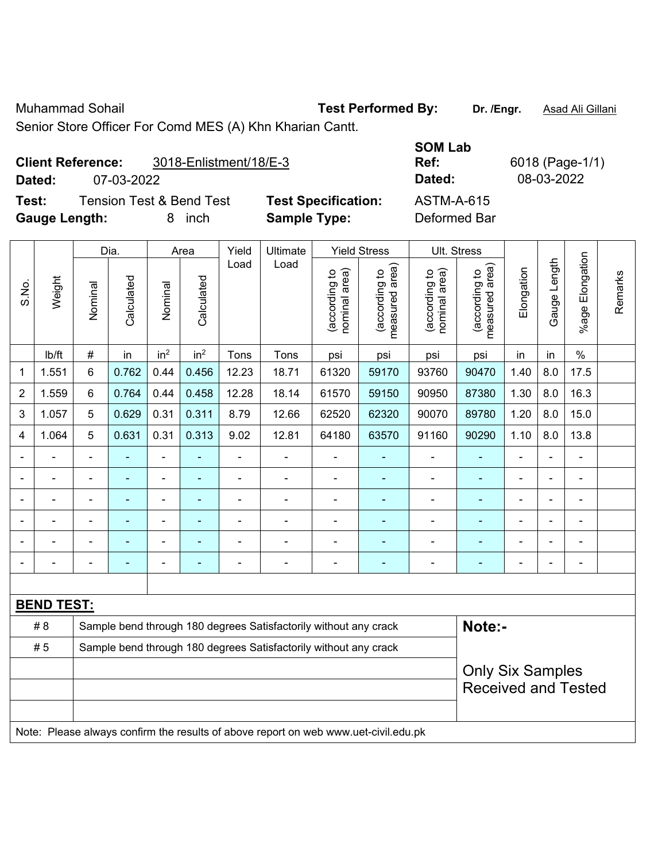Muhammad Sohail **Test Performed By: Dr. /Engr.** Asad Ali Gillani

Dia. Area Yield Ultimate Yield Stress Ult. Stress

Senior Store Officer For Comd MES (A) Khn Kharian Cantt.

## **Client Reference:** 3018-Enlistment/18/E-3 **Dated:** 07-03-2022 **Dated:** 08-03-2022

**Test:** Tension Test & Bend Test **Test Specification:** ASTM-A-615 **Gauge Length:** 8 inch **Sample Type:** Deformed Bar

| t Specification: |  |
|------------------|--|

**SOM Lab** 

**Ref:** 6018 (Page-1/1)

|                          |                |                | Dia.       |                 | Area            | Yield          | Ultimate                                                                            |                                | Yield Stress                    |                                | UII. Stress                     |                |                |                          |         |
|--------------------------|----------------|----------------|------------|-----------------|-----------------|----------------|-------------------------------------------------------------------------------------|--------------------------------|---------------------------------|--------------------------------|---------------------------------|----------------|----------------|--------------------------|---------|
| S.No.                    | Weight         | Nominal        | Calculated | Nominal         | Calculated      | Load           | Load                                                                                | (according to<br>nominal area) | (according to<br>measured area) | (according to<br>nominal area) | (according to<br>measured area) | Elongation     | Gauge Length   | Elongation<br>$%$ age    | Remarks |
|                          | lb/ft          | $\#$           | in         | in <sup>2</sup> | in <sup>2</sup> | Tons           | Tons                                                                                | psi                            | psi                             | psi                            | psi                             | in             | in             | $\%$                     |         |
| $\mathbf{1}$             | 1.551          | 6              | 0.762      | 0.44            | 0.456           | 12.23          | 18.71                                                                               | 61320                          | 59170                           | 93760                          | 90470                           | 1.40           | 8.0            | 17.5                     |         |
| $\boldsymbol{2}$         | 1.559          | 6              | 0.764      | 0.44            | 0.458           | 12.28          | 18.14                                                                               | 61570                          | 59150                           | 90950                          | 87380                           | 1.30           | 8.0            | 16.3                     |         |
| 3                        | 1.057          | 5              | 0.629      | 0.31            | 0.311           | 8.79           | 12.66                                                                               | 62520                          | 62320                           | 90070                          | 89780                           | 1.20           | 8.0            | 15.0                     |         |
| $\overline{\mathbf{4}}$  | 1.064          | 5              | 0.631      | 0.31            | 0.313           | 9.02           | 12.81                                                                               | 64180                          | 63570                           | 91160                          | 90290                           | 1.10           | 8.0            | 13.8                     |         |
|                          |                |                |            |                 |                 |                |                                                                                     |                                |                                 |                                |                                 |                |                |                          |         |
|                          |                |                |            |                 |                 |                |                                                                                     |                                |                                 |                                |                                 |                |                |                          |         |
| $\blacksquare$           | $\overline{a}$ | $\blacksquare$ | ۰          | ۰               | ٠               | $\blacksquare$ |                                                                                     | Ē,                             | $\blacksquare$                  | $\overline{\phantom{0}}$       | $\blacksquare$                  | $\blacksquare$ | $\blacksquare$ | $\blacksquare$           |         |
| $\overline{\phantom{a}}$ |                |                | ÷          |                 | ۳               | ÷              |                                                                                     |                                |                                 | $\blacksquare$                 | $\blacksquare$                  | $\blacksquare$ |                | $\blacksquare$           |         |
|                          |                |                |            |                 | ä,              | ÷              |                                                                                     | $\blacksquare$                 |                                 | $\blacksquare$                 | $\blacksquare$                  | $\blacksquare$ |                |                          |         |
|                          |                |                |            |                 |                 |                |                                                                                     |                                |                                 |                                |                                 |                |                | $\overline{\phantom{0}}$ |         |
|                          |                |                |            |                 |                 |                |                                                                                     |                                |                                 |                                |                                 |                |                |                          |         |
|                          | BEND TEST:     |                |            |                 |                 |                |                                                                                     |                                |                                 |                                |                                 |                |                |                          |         |
|                          | #8             |                |            |                 |                 |                | Sample bend through 180 degrees Satisfactorily without any crack                    |                                |                                 |                                | Note:-                          |                |                |                          |         |
|                          | #5             |                |            |                 |                 |                | Sample bend through 180 degrees Satisfactorily without any crack                    |                                |                                 |                                |                                 |                |                |                          |         |
|                          |                |                |            |                 |                 |                |                                                                                     |                                |                                 |                                | <b>Only Six Samples</b>         |                |                |                          |         |
|                          |                |                |            |                 |                 |                |                                                                                     |                                |                                 |                                | <b>Received and Tested</b>      |                |                |                          |         |
|                          |                |                |            |                 |                 |                |                                                                                     |                                |                                 |                                |                                 |                |                |                          |         |
|                          |                |                |            |                 |                 |                | Note: Please always confirm the results of above report on web www.uet-civil.edu.pk |                                |                                 |                                |                                 |                |                |                          |         |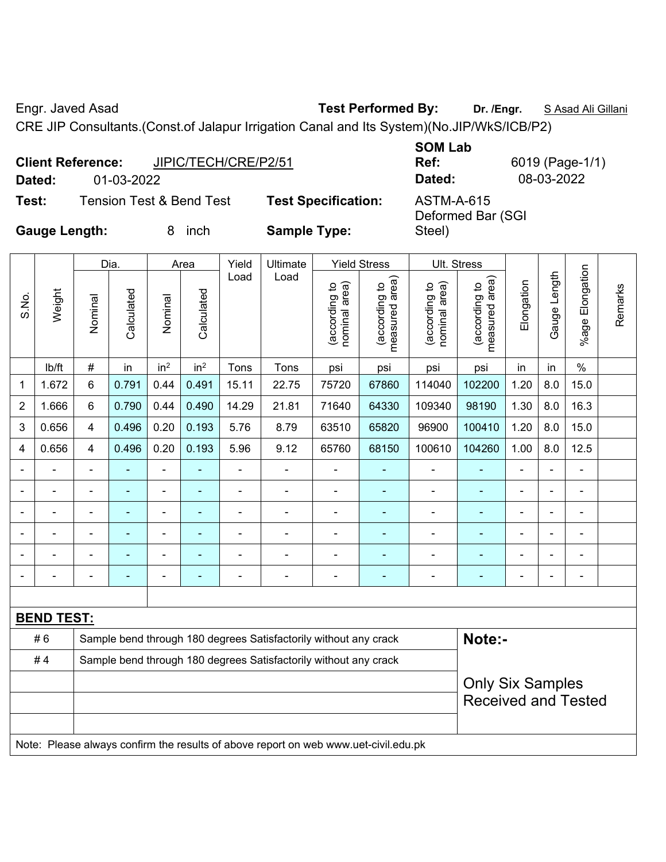Engr. Javed Asad **Test Performed By: Dr. /Engr.** S Asad Ali Gillani

CRE JIP Consultants.(Const.of Jalapur Irrigation Canal and Its System)(No.JIP/WkS/ICB/P2)

|                      | <b>Client Reference:</b><br>JIPIC/TECH/CRE/P2/51 |                            | <b>SOM Lab</b><br>Ref:          | 6019 (Page-1/1) |
|----------------------|--------------------------------------------------|----------------------------|---------------------------------|-----------------|
| Dated:               | 01-03-2022                                       |                            | Dated:                          | 08-03-2022      |
| Test:                | Tension Test & Bend Test                         | <b>Test Specification:</b> | ASTM-A-615<br>Deformed Bar (SGI |                 |
| <b>Gauge Length:</b> | inch<br>8.                                       | <b>Sample Type:</b>        | Steel)                          |                 |

|                          |                                                                                     |                          | Dia.       |                 | Area            | Yield          | Ultimate                                                         |                                | <b>Yield Stress</b>             | Ult. Stress                    |                                 |                |              |                 |         |
|--------------------------|-------------------------------------------------------------------------------------|--------------------------|------------|-----------------|-----------------|----------------|------------------------------------------------------------------|--------------------------------|---------------------------------|--------------------------------|---------------------------------|----------------|--------------|-----------------|---------|
| S.No.                    | Weight                                                                              | Nominal                  | Calculated | Nominal         | Calculated      | Load           | Load                                                             | (according to<br>nominal area) | measured area)<br>(according to | nominal area)<br>(according to | measured area)<br>(according to | Elongation     | Gauge Length | %age Elongation | Remarks |
|                          | lb/ft                                                                               | #                        | in         | in <sup>2</sup> | in <sup>2</sup> | Tons           | Tons                                                             | psi                            | psi                             | psi                            | psi                             | in             | in           | $\%$            |         |
| 1                        | 1.672                                                                               | 6                        | 0.791      | 0.44            | 0.491           | 15.11          | 22.75                                                            | 75720                          | 67860                           | 114040                         | 102200                          | 1.20           | 8.0          | 15.0            |         |
| 2                        | 1.666                                                                               | 6                        | 0.790      | 0.44            | 0.490           | 14.29          | 21.81                                                            | 71640                          | 64330                           | 109340                         | 98190                           | 1.30           | 8.0          | 16.3            |         |
| 3                        | 0.656                                                                               | 4                        | 0.496      | 0.20            | 0.193           | 5.76           | 8.79                                                             | 63510                          | 65820                           | 96900                          | 100410                          | 1.20           | 8.0          | 15.0            |         |
| 4                        | 0.656                                                                               | 4                        | 0.496      | 0.20            | 0.193           | 5.96           | 9.12                                                             | 65760                          | 68150                           | 100610                         | 104260                          | 1.00           | 8.0          | 12.5            |         |
|                          |                                                                                     | $\overline{\phantom{a}}$ | ä,         | $\blacksquare$  |                 | $\overline{a}$ | $\blacksquare$                                                   |                                |                                 | ä,                             | ä,                              |                |              | $\blacksquare$  |         |
|                          |                                                                                     |                          |            | $\blacksquare$  |                 |                |                                                                  |                                |                                 |                                | ٠                               |                |              | $\blacksquare$  |         |
|                          |                                                                                     |                          |            | $\blacksquare$  |                 |                | $\blacksquare$                                                   | $\blacksquare$                 |                                 | ä,                             | ۰                               |                |              | L.              |         |
|                          |                                                                                     |                          |            |                 |                 |                |                                                                  |                                |                                 |                                |                                 |                |              |                 |         |
|                          |                                                                                     |                          |            | $\blacksquare$  |                 | $\blacksquare$ | ۰                                                                | $\blacksquare$                 |                                 | $\blacksquare$                 | ۳                               |                |              | $\blacksquare$  |         |
| $\overline{\phantom{0}}$ |                                                                                     |                          |            | $\overline{a}$  |                 | Ē,             | $\overline{a}$                                                   | $\blacksquare$                 |                                 | -                              | ۰                               | $\blacksquare$ |              | ÷               |         |
|                          |                                                                                     |                          |            |                 |                 |                |                                                                  |                                |                                 |                                |                                 |                |              |                 |         |
|                          | <b>BEND TEST:</b>                                                                   |                          |            |                 |                 |                |                                                                  |                                |                                 |                                |                                 |                |              |                 |         |
|                          | #6                                                                                  |                          |            |                 |                 |                | Sample bend through 180 degrees Satisfactorily without any crack |                                |                                 |                                | Note:-                          |                |              |                 |         |
|                          | #4                                                                                  |                          |            |                 |                 |                | Sample bend through 180 degrees Satisfactorily without any crack |                                |                                 |                                |                                 |                |              |                 |         |
|                          |                                                                                     |                          |            |                 |                 |                |                                                                  |                                |                                 |                                | <b>Only Six Samples</b>         |                |              |                 |         |
|                          |                                                                                     |                          |            |                 |                 |                |                                                                  |                                |                                 |                                | <b>Received and Tested</b>      |                |              |                 |         |
|                          |                                                                                     |                          |            |                 |                 |                |                                                                  |                                |                                 |                                |                                 |                |              |                 |         |
|                          | Note: Please always confirm the results of above report on web www.uet-civil.edu.pk |                          |            |                 |                 |                |                                                                  |                                |                                 |                                |                                 |                |              |                 |         |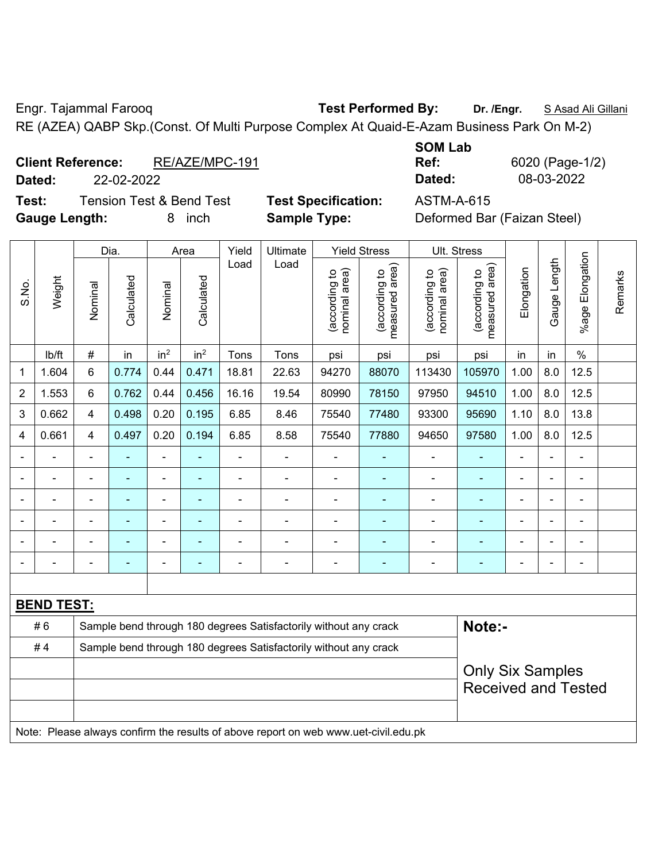Engr. Tajammal Farooq **Test Performed By: Dr. /Engr.** S Asad Ali Gillani

RE (AZEA) QABP Skp.(Const. Of Multi Purpose Complex At Quaid-E-Azam Business Park On M-2)

| <b>Client Reference:</b> |            | RE/AZE/MPC-191 | Ref:   | 6020 (Page-1 |
|--------------------------|------------|----------------|--------|--------------|
| Dated:                   | 22-02-2022 |                | Dated: | 08-03-2022   |

**Test:** Tension Test & Bend Test **Test Specification:** ASTM-A-615 **Gauge Length:** 8 inch **Sample Type:** Deformed Bar (Faizan Steel)

| <b>SOM Lab</b> |                 |
|----------------|-----------------|
| Ref:           | 6020 (Page-1/2) |
| Dated:         | 08-03-2022      |

|                |                                                                                     |                                                                            | Dia.                                                             |                          | Area                     | Yield          | Ultimate       | <b>Yield Stress</b>            |                                 |                                | Ult. Stress                     |                |                |                              |         |
|----------------|-------------------------------------------------------------------------------------|----------------------------------------------------------------------------|------------------------------------------------------------------|--------------------------|--------------------------|----------------|----------------|--------------------------------|---------------------------------|--------------------------------|---------------------------------|----------------|----------------|------------------------------|---------|
| S.No.          | Weight                                                                              | Nominal                                                                    | Calculated                                                       | Nominal                  | Calculated               | Load           | Load           | nominal area)<br>(according to | (according to<br>measured area) | nominal area)<br>(according to | measured area)<br>(according to | Elongation     | Gauge Length   | Elongation<br>$%$ age I      | Remarks |
|                | lb/ft                                                                               | $\#$                                                                       | in                                                               | in <sup>2</sup>          | in <sup>2</sup>          | Tons           | Tons           | psi                            | psi                             | psi                            | psi                             | in             | in             | $\%$                         |         |
| 1              | 1.604                                                                               | 6                                                                          | 0.774                                                            | 0.44                     | 0.471                    | 18.81          | 22.63          | 94270                          | 88070                           | 113430                         | 105970                          | 1.00           | 8.0            | 12.5                         |         |
| $\overline{2}$ | 1.553                                                                               | 6                                                                          | 0.762                                                            | 0.44                     | 0.456                    | 16.16          | 19.54          | 80990                          | 78150                           | 97950                          | 94510                           | 1.00           | 8.0            | 12.5                         |         |
| 3              | 0.662                                                                               | 4                                                                          | 0.498                                                            | 0.20                     | 0.195                    | 6.85           | 8.46           | 75540                          | 77480                           | 93300                          | 95690                           | 1.10           | 8.0            | 13.8                         |         |
| 4              | 0.661                                                                               | 4                                                                          | 0.497                                                            | 0.20                     | 0.194                    | 6.85           | 8.58           | 75540                          | 77880                           | 94650                          | 97580                           | 1.00           | 8.0            | 12.5                         |         |
|                |                                                                                     |                                                                            |                                                                  | $\blacksquare$           |                          | $\blacksquare$ | ä,             |                                |                                 | $\blacksquare$                 | $\blacksquare$                  | ÷              | $\blacksquare$ | ä,                           |         |
|                | $\overline{a}$                                                                      | $\blacksquare$                                                             | $\blacksquare$                                                   | ۰                        | ۰                        | $\blacksquare$ | $\blacksquare$ | Ē,                             |                                 | $\blacksquare$                 | $\blacksquare$                  | $\blacksquare$ | $\blacksquare$ | $\overline{\phantom{a}}$     |         |
|                | $\overline{a}$                                                                      | $\blacksquare$                                                             | ۰                                                                | $\overline{a}$           | $\overline{\phantom{0}}$ | $\blacksquare$ | ÷              | $\blacksquare$                 | $\overline{a}$                  | $\blacksquare$                 | $\blacksquare$                  | -              | ÷,             | $\qquad \qquad \blacksquare$ |         |
|                | ä,                                                                                  | $\blacksquare$                                                             | ٠                                                                | $\overline{\phantom{0}}$ | ۰                        | $\blacksquare$ | $\blacksquare$ | Ē,                             | ٠                               | $\blacksquare$                 | $\blacksquare$                  | ä,             | $\blacksquare$ | $\qquad \qquad \blacksquare$ |         |
|                |                                                                                     |                                                                            | ä,                                                               | $\blacksquare$           |                          |                | $\blacksquare$ |                                |                                 | $\blacksquare$                 | ÷                               |                |                | ÷                            |         |
|                |                                                                                     |                                                                            |                                                                  | $\overline{a}$           |                          |                |                |                                |                                 |                                | $\overline{a}$                  |                | $\blacksquare$ | ÷                            |         |
|                |                                                                                     |                                                                            |                                                                  |                          |                          |                |                |                                |                                 |                                |                                 |                |                |                              |         |
|                | <b>BEND TEST:</b>                                                                   |                                                                            |                                                                  |                          |                          |                |                |                                |                                 |                                |                                 |                |                |                              |         |
|                | #6                                                                                  | Note:-<br>Sample bend through 180 degrees Satisfactorily without any crack |                                                                  |                          |                          |                |                |                                |                                 |                                |                                 |                |                |                              |         |
|                | #4                                                                                  |                                                                            | Sample bend through 180 degrees Satisfactorily without any crack |                          |                          |                |                |                                |                                 |                                |                                 |                |                |                              |         |
|                |                                                                                     |                                                                            |                                                                  |                          |                          |                |                |                                |                                 |                                | <b>Only Six Samples</b>         |                |                |                              |         |
|                |                                                                                     |                                                                            |                                                                  |                          |                          |                |                |                                |                                 |                                | <b>Received and Tested</b>      |                |                |                              |         |
|                |                                                                                     |                                                                            |                                                                  |                          |                          |                |                |                                |                                 |                                |                                 |                |                |                              |         |
|                | Note: Please always confirm the results of above report on web www.uet-civil.edu.pk |                                                                            |                                                                  |                          |                          |                |                |                                |                                 |                                |                                 |                |                |                              |         |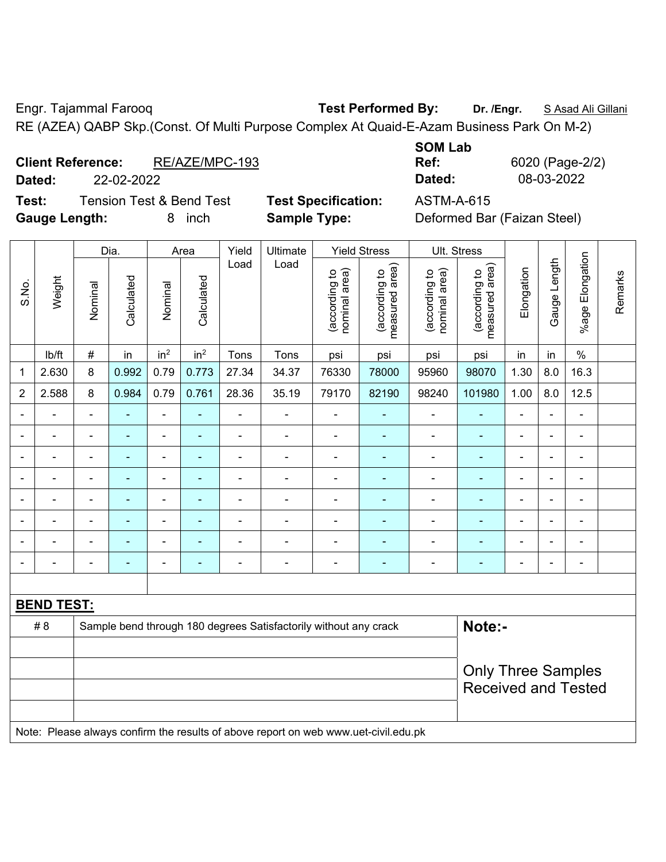Engr. Tajammal Farooq **Test Performed By:** Dr. /Engr. **SAsad Ali Gillani** 

RE (AZEA) QABP Skp.(Const. Of Multi Purpose Complex At Quaid-E-Azam Business Park On M-2)

| <b>Client Reference:</b> | RE/AZE/MPC-193 | Ref:   | 6020 (Page-2 |
|--------------------------|----------------|--------|--------------|
| Dated:                   | 22-02-2022     | Dated: | 08-03-2022   |

**Test:** Tension Test & Bend Test **Test Specification:** ASTM-A-615 **Gauge Length:** 8 inch **Sample Type:** Deformed Bar (Faizan Steel)

| <b>SOM Lab</b> |                 |
|----------------|-----------------|
| Ref:           | 6020 (Page-2/2) |
| Dated:         | 08-03-2022      |

|                |                   |                | Dia.                     | Area            |                 | Yield                    | Ultimate                                                                            | <b>Yield Stress</b>            |                                 | Ult. Stress                    |                                 |                          |                |                          |         |
|----------------|-------------------|----------------|--------------------------|-----------------|-----------------|--------------------------|-------------------------------------------------------------------------------------|--------------------------------|---------------------------------|--------------------------------|---------------------------------|--------------------------|----------------|--------------------------|---------|
| S.No.          | Weight            | Nominal        | Calculated               | Nominal         | Calculated      | Load                     | Load                                                                                | nominal area)<br>(according to | (according to<br>measured area) | nominal area)<br>(according to | (according to<br>measured area) | Elongation               | Gauge Length   | Elongation<br>%age       | Remarks |
|                | Ib/ft             | #              | in                       | in <sup>2</sup> | in <sup>2</sup> | Tons                     | Tons                                                                                | psi                            | psi                             | psi                            | psi                             | in                       | in             | $\%$                     |         |
| 1              | 2.630             | 8              | 0.992                    | 0.79            | 0.773           | 27.34                    | 34.37                                                                               | 76330                          | 78000                           | 95960                          | 98070                           | 1.30                     | 8.0            | 16.3                     |         |
| $\overline{2}$ | 2.588             | 8              | 0.984                    | 0.79            | 0.761           | 28.36                    | 35.19                                                                               | 79170                          | 82190                           | 98240                          | 101980                          | 1.00                     | 8.0            | 12.5                     |         |
| $\blacksquare$ | $\blacksquare$    | $\blacksquare$ | $\blacksquare$           | ä,              | $\blacksquare$  | $\overline{\phantom{a}}$ | $\blacksquare$                                                                      | $\qquad \qquad \blacksquare$   | ۰                               | ÷                              | $\blacksquare$                  | $\blacksquare$           | $\blacksquare$ | ÷                        |         |
| $\blacksquare$ | $\blacksquare$    | $\blacksquare$ | $\blacksquare$           | ä,              | $\blacksquare$  | $\overline{\phantom{a}}$ | $\blacksquare$                                                                      | $\blacksquare$                 | ٠                               | ä,                             | $\blacksquare$                  | $\blacksquare$           | $\blacksquare$ | $\blacksquare$           |         |
|                | ÷                 | $\blacksquare$ | $\overline{\phantom{0}}$ | ÷               | $\blacksquare$  | $\blacksquare$           | $\blacksquare$                                                                      | $\blacksquare$                 | $\blacksquare$                  | ÷                              | $\blacksquare$                  | $\overline{\phantom{a}}$ | $\blacksquare$ | $\overline{\phantom{a}}$ |         |
|                | ä,                | $\blacksquare$ | ä,                       | ÷               | $\blacksquare$  | $\blacksquare$           | $\overline{\phantom{0}}$                                                            | ä,                             | ٠                               | ÷                              | ä,                              | $\blacksquare$           | $\blacksquare$ | $\blacksquare$           |         |
|                |                   | Ē,             | $\blacksquare$           | $\blacksquare$  |                 | Ē,                       | $\blacksquare$                                                                      | $\blacksquare$                 |                                 | $\blacksquare$                 | $\blacksquare$                  | ÷                        |                | ÷                        |         |
|                |                   |                |                          |                 |                 |                          |                                                                                     |                                |                                 |                                |                                 |                          |                | L.                       |         |
|                |                   |                |                          |                 |                 |                          |                                                                                     | L,                             |                                 |                                |                                 |                          |                | $\blacksquare$           |         |
| $\blacksquare$ | $\blacksquare$    | $\blacksquare$ | $\blacksquare$           | ÷               | ÷               | Ē,                       | $\blacksquare$                                                                      | $\blacksquare$                 | $\blacksquare$                  | $\blacksquare$                 | $\blacksquare$                  | $\blacksquare$           | $\blacksquare$ | $\overline{\phantom{a}}$ |         |
|                |                   |                |                          |                 |                 |                          |                                                                                     |                                |                                 |                                |                                 |                          |                |                          |         |
|                | <b>BEND TEST:</b> |                |                          |                 |                 |                          |                                                                                     |                                |                                 |                                |                                 |                          |                |                          |         |
|                | # 8               |                |                          |                 |                 |                          | Sample bend through 180 degrees Satisfactorily without any crack                    |                                |                                 |                                | Note:-                          |                          |                |                          |         |
|                |                   |                |                          |                 |                 |                          |                                                                                     |                                |                                 |                                |                                 |                          |                |                          |         |
|                |                   |                |                          |                 |                 |                          |                                                                                     |                                |                                 |                                | <b>Only Three Samples</b>       |                          |                |                          |         |
|                |                   |                |                          |                 |                 |                          |                                                                                     |                                |                                 |                                | <b>Received and Tested</b>      |                          |                |                          |         |
|                |                   |                |                          |                 |                 |                          | Note: Please always confirm the results of above report on web www.uet-civil.edu.pk |                                |                                 |                                |                                 |                          |                |                          |         |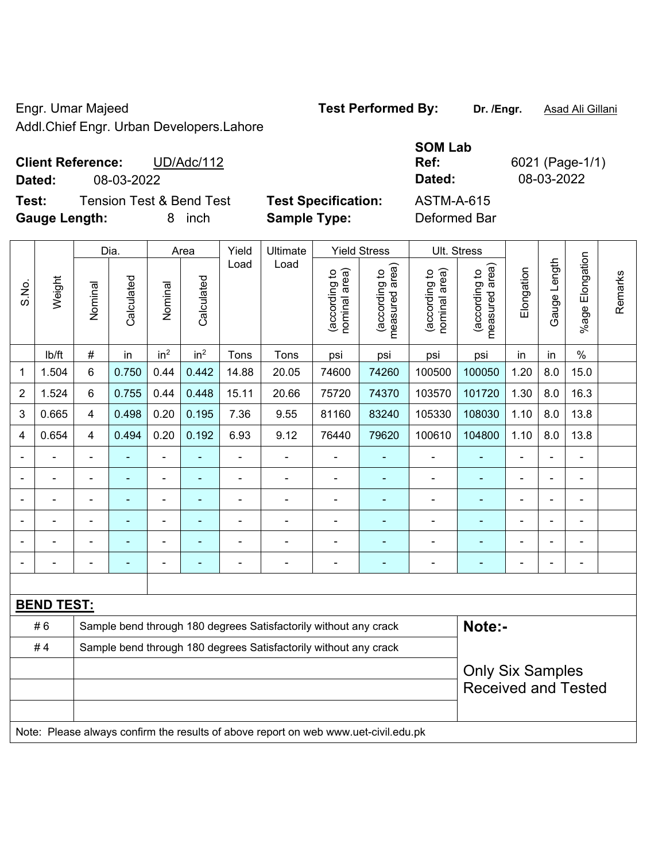Engr. Umar Majeed **Test Performed By: Dr. /Engr.** Asad Ali Gillani Addl.Chief Engr. Urban Developers.Lahore

|                                              |                            | <b>SOM Lab</b>    |              |
|----------------------------------------------|----------------------------|-------------------|--------------|
| <b>Client Reference:</b><br>UD/Adc/112       |                            | Ref:              | 6021 (Page-1 |
| Dated:<br>08-03-2022                         |                            | Dated:            | 08-03-2022   |
| Test:<br><b>Tension Test &amp; Bend Test</b> | <b>Test Specification:</b> | <b>ASTM-A-615</b> |              |
| <b>Gauge Length:</b><br>inch                 | <b>Sample Type:</b>        | Deformed Bar      |              |

|                | Weight            | Dia.                     |                |                              | Area                     | Yield          | Ultimate                                                                            |                                | <b>Yield Stress</b>             |                                | Ult. Stress                     |                            |                |                       |         |  |
|----------------|-------------------|--------------------------|----------------|------------------------------|--------------------------|----------------|-------------------------------------------------------------------------------------|--------------------------------|---------------------------------|--------------------------------|---------------------------------|----------------------------|----------------|-----------------------|---------|--|
| S.No.          |                   | Nominal                  | Calculated     | Nominal                      | Calculated               | Load           | Load                                                                                | nominal area)<br>(according to | measured area)<br>(according to | nominal area)<br>(according to | measured area)<br>(according to | Elongation                 | Gauge Length   | Elongation<br>$%$ age | Remarks |  |
|                | lb/ft             | $\#$                     | in             | in <sup>2</sup>              | in <sup>2</sup>          | Tons           | Tons                                                                                | psi                            | psi                             | psi                            | psi                             | in                         | in             | $\%$                  |         |  |
| 1              | 1.504             | 6                        | 0.750          | 0.44                         | 0.442                    | 14.88          | 20.05                                                                               | 74600                          | 74260                           | 100500                         | 100050                          | 1.20                       | 8.0            | 15.0                  |         |  |
| 2              | 1.524             | 6                        | 0.755          | 0.44                         | 0.448                    | 15.11          | 20.66                                                                               | 75720                          | 74370                           | 103570                         | 101720                          | 1.30                       | 8.0            | 16.3                  |         |  |
| 3              | 0.665             | $\overline{4}$           | 0.498          | 0.20                         | 0.195                    | 7.36           | 9.55                                                                                | 81160                          | 83240                           | 105330                         | 108030                          | 1.10                       | 8.0            | 13.8                  |         |  |
| 4              | 0.654             | $\overline{\mathbf{4}}$  | 0.494          | 0.20                         | 0.192                    | 6.93           | 9.12                                                                                | 76440                          | 79620                           | 100610                         | 104800                          | 1.10                       | 8.0            | 13.8                  |         |  |
|                |                   |                          |                | ÷                            |                          |                |                                                                                     |                                |                                 |                                |                                 |                            |                |                       |         |  |
|                |                   |                          | $\blacksquare$ | $\blacksquare$               |                          | $\blacksquare$ | $\blacksquare$                                                                      | ä,                             |                                 | ä,                             | ۰                               | $\blacksquare$             | $\blacksquare$ | $\blacksquare$        |         |  |
| $\blacksquare$ |                   | $\blacksquare$           | ä,             | $\qquad \qquad \blacksquare$ |                          | -              | $\blacksquare$                                                                      | $\blacksquare$                 |                                 | Ē,                             | ۰                               | Ē,                         | ä,             | ÷,                    |         |  |
|                |                   | $\overline{\phantom{0}}$ | ä,             | $\overline{\phantom{a}}$     |                          | -              | $\blacksquare$                                                                      |                                |                                 | $\blacksquare$                 | ÷                               | Ē,                         | $\blacksquare$ | ÷                     |         |  |
|                |                   | $\blacksquare$           | ä,             | ÷,                           | $\overline{\phantom{a}}$ | L,             | $\blacksquare$                                                                      | ä,                             |                                 | $\blacksquare$                 | Ξ                               | ä,                         | $\blacksquare$ | ä,                    |         |  |
|                |                   |                          |                |                              | $\blacksquare$           | $\blacksquare$ | $\blacksquare$                                                                      | ä,                             |                                 | Ē,                             | ÷                               |                            |                | ä,                    |         |  |
|                |                   |                          |                |                              |                          |                |                                                                                     |                                |                                 |                                |                                 |                            |                |                       |         |  |
|                | <b>BEND TEST:</b> |                          |                |                              |                          |                |                                                                                     |                                |                                 |                                |                                 |                            |                |                       |         |  |
|                | #6                |                          |                |                              |                          |                | Sample bend through 180 degrees Satisfactorily without any crack                    |                                |                                 |                                | Note:-                          |                            |                |                       |         |  |
|                | #4                |                          |                |                              |                          |                | Sample bend through 180 degrees Satisfactorily without any crack                    |                                |                                 |                                |                                 |                            |                |                       |         |  |
|                |                   |                          |                |                              |                          |                |                                                                                     |                                |                                 |                                | <b>Only Six Samples</b>         |                            |                |                       |         |  |
|                |                   |                          |                |                              |                          |                |                                                                                     |                                |                                 |                                |                                 | <b>Received and Tested</b> |                |                       |         |  |
|                |                   |                          |                |                              |                          |                |                                                                                     |                                |                                 |                                |                                 |                            |                |                       |         |  |
|                |                   |                          |                |                              |                          |                | Note: Please always confirm the results of above report on web www.uet-civil.edu.pk |                                |                                 |                                |                                 |                            |                |                       |         |  |

**Ref:** 6021 (Page-1/1)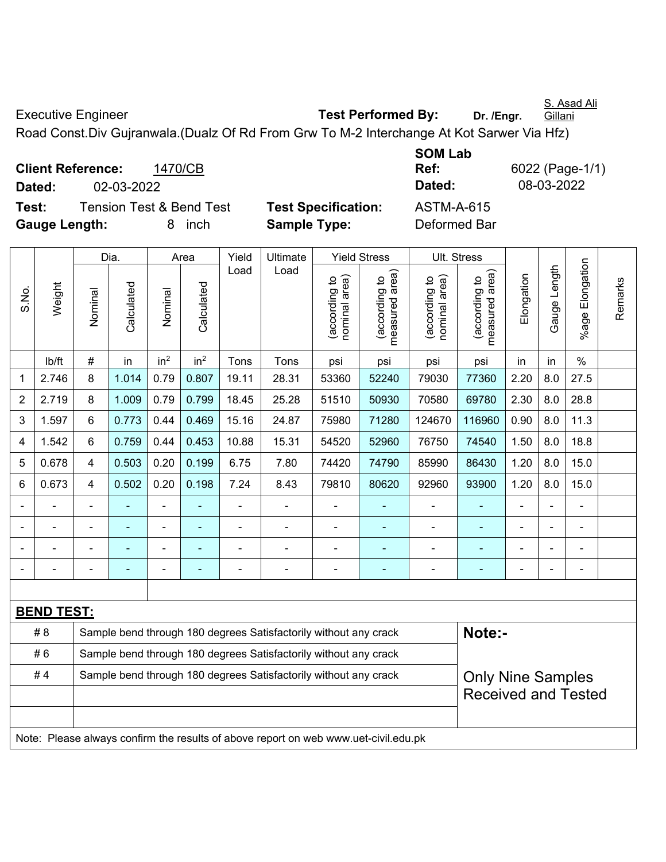S. Asad Ali

Executive Engineer **Test Performed By:** Dr. /Engr.

Road Const.Div Gujranwala.(Dualz Of Rd From Grw To M-2 Interchange At Kot Sarwer Via Hfz)

**Client Reference:** 1470/CB **Dated:** 02-03-2022 **Dated:** 08-03-2022 **Test:** Tension Test & Bend Test **Test Specification:** ASTM-A-615 **Gauge Length:** 8 inch **Sample Type:** Deformed Bar

**SOM Lab Ref:** 6022 (Page-1/1)

|                |                   | Dia.           |                |                 | Area                     | Yield          | Ultimate                                                                            |                                | <b>Yield Stress</b>                         |                                | Ult. Stress                     |                          |                |                    |         |
|----------------|-------------------|----------------|----------------|-----------------|--------------------------|----------------|-------------------------------------------------------------------------------------|--------------------------------|---------------------------------------------|--------------------------------|---------------------------------|--------------------------|----------------|--------------------|---------|
| S.No.          | Weight            | Nominal        | Calculated     | Nominal         | Calculated               | Load           | Load                                                                                | (according to<br>nominal area) | (according to<br>neasured area)<br>measured | nominal area)<br>(according to | measured area)<br>(according to | Elongation               | Gauge Length   | Elongation<br>%age | Remarks |
|                | lb/ft             | $\#$           | in             | in <sup>2</sup> | in <sup>2</sup>          | Tons           | Tons                                                                                | psi                            | psi                                         | psi                            | psi                             | in                       | in             | $\%$               |         |
| 1              | 2.746             | 8              | 1.014          | 0.79            | 0.807                    | 19.11          | 28.31                                                                               | 53360                          | 52240                                       | 79030                          | 77360                           | 2.20                     | 8.0            | 27.5               |         |
| $\overline{2}$ | 2.719             | 8              | 1.009          | 0.79            | 0.799                    | 18.45          | 25.28                                                                               | 51510                          | 50930                                       | 70580                          | 69780                           | 2.30                     | 8.0            | 28.8               |         |
| 3              | 1.597             | 6              | 0.773          | 0.44            | 0.469                    | 15.16          | 24.87                                                                               | 75980                          | 71280                                       | 124670                         | 116960                          | 0.90                     | 8.0            | 11.3               |         |
| $\overline{4}$ | 1.542             | 6              | 0.759          | 0.44            | 0.453                    | 10.88          | 15.31                                                                               | 54520                          | 52960                                       | 76750                          | 74540                           | 1.50                     | 8.0            | 18.8               |         |
| 5              | 0.678             | $\overline{4}$ | 0.503          | 0.20            | 0.199                    | 6.75           | 7.80                                                                                | 74420                          | 74790                                       | 85990                          | 86430                           | 1.20                     | 8.0            | 15.0               |         |
| 6              | 0.673             | 4              | 0.502          | 0.20            | 0.198                    | 7.24           | 8.43                                                                                | 79810                          | 80620                                       | 92960                          | 93900                           | 1.20                     | 8.0            | 15.0               |         |
|                |                   |                |                |                 |                          | $\blacksquare$ |                                                                                     |                                |                                             |                                |                                 |                          |                | $\blacksquare$     |         |
|                |                   |                |                | ä,              |                          | L,             | $\blacksquare$                                                                      | $\blacksquare$                 |                                             | $\blacksquare$                 |                                 | $\blacksquare$           | $\blacksquare$ | ä,                 |         |
|                |                   |                |                | ä,              |                          |                | $\blacksquare$                                                                      | $\blacksquare$                 |                                             | $\blacksquare$                 |                                 |                          | $\blacksquare$ | $\blacksquare$     |         |
|                |                   | $\blacksquare$ | $\blacksquare$ | ÷               | $\overline{\phantom{0}}$ | $\blacksquare$ | $\blacksquare$                                                                      | $\blacksquare$                 | $\blacksquare$                              | $\blacksquare$                 | $\blacksquare$                  | $\overline{\phantom{0}}$ | $\blacksquare$ | ÷                  |         |
|                |                   |                |                |                 |                          |                |                                                                                     |                                |                                             |                                |                                 |                          |                |                    |         |
|                | <b>BEND TEST:</b> |                |                |                 |                          |                |                                                                                     |                                |                                             |                                |                                 |                          |                |                    |         |
|                | # 8               |                |                |                 |                          |                | Sample bend through 180 degrees Satisfactorily without any crack                    |                                |                                             |                                | Note:-                          |                          |                |                    |         |
|                | #6                |                |                |                 |                          |                | Sample bend through 180 degrees Satisfactorily without any crack                    |                                |                                             |                                |                                 |                          |                |                    |         |
|                | #4                |                |                |                 |                          |                | Sample bend through 180 degrees Satisfactorily without any crack                    |                                |                                             |                                | <b>Only Nine Samples</b>        |                          |                |                    |         |
|                |                   |                |                |                 |                          |                |                                                                                     |                                |                                             |                                | <b>Received and Tested</b>      |                          |                |                    |         |
|                |                   |                |                |                 |                          |                |                                                                                     |                                |                                             |                                |                                 |                          |                |                    |         |
|                |                   |                |                |                 |                          |                | Note: Please always confirm the results of above report on web www.uet-civil.edu.pk |                                |                                             |                                |                                 |                          |                |                    |         |

**Gillani**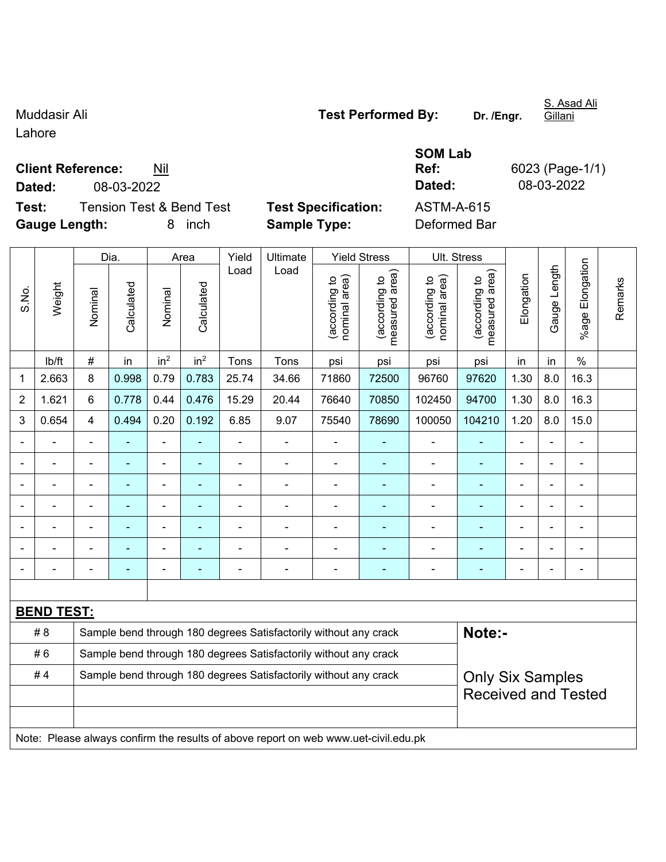Lahore

**Client Reference:** Nil

**Test:** Tension Test & Bend Test **Test Specification:** ASTM-A-615 **Gauge Length:** 8 inch **Sample Type:** Deformed Bar

| Muddasir Ali | <b>Test Performed By:</b> | Dr. /Engr. |
|--------------|---------------------------|------------|
|              |                           |            |

**SOM Lab Ref:** 6023 (Page-1/1) **Dated:** 08-03-2022 **Dated:** 08-03-2022

|       |                   |                | Dia.           |                 | Area                     | Yield                      | Ultimate                                                                            |                                | <b>Yield Stress</b>             |                                | Ult. Stress                     |                |              |                       |         |
|-------|-------------------|----------------|----------------|-----------------|--------------------------|----------------------------|-------------------------------------------------------------------------------------|--------------------------------|---------------------------------|--------------------------------|---------------------------------|----------------|--------------|-----------------------|---------|
| S.No. | Weight            | Nominal        | Calculated     | Nominal         | Calculated               | Load                       | Load                                                                                | nominal area)<br>(according to | (according to<br>measured area) | nominal area)<br>(according to | (according to<br>measured area) | Elongation     | Gauge Length | Elongation<br>$%$ age | Remarks |
|       | lb/ft             | #              | in             | in <sup>2</sup> | in <sup>2</sup>          | Tons                       | Tons                                                                                | psi                            | psi                             | psi                            | psi                             | in             | in           | $\%$                  |         |
| 1     | 2.663             | 8              | 0.998          | 0.79            | 0.783                    | 25.74                      | 34.66                                                                               | 71860                          | 72500                           | 96760                          | 97620                           | 1.30           | 8.0          | 16.3                  |         |
| 2     | 1.621             | 6              | 0.778          | 0.44            | 0.476                    | 15.29                      | 20.44                                                                               | 76640                          | 70850                           | 102450                         | 94700                           | 1.30           | 8.0          | 16.3                  |         |
| 3     | 0.654             | 4              | 0.494          | 0.20            | 0.192                    | 6.85                       | 9.07                                                                                | 75540                          | 78690                           | 100050                         | 104210                          | 1.20           | 8.0          | 15.0                  |         |
|       |                   | $\blacksquare$ | ÷,             | $\overline{a}$  |                          | ä,                         | ÷,                                                                                  | L,                             | $\blacksquare$                  | $\blacksquare$                 | $\blacksquare$                  | ä,             |              | $\blacksquare$        |         |
|       | $\blacksquare$    | $\blacksquare$ | $\blacksquare$ | $\blacksquare$  | $\blacksquare$           | $\blacksquare$             | $\blacksquare$                                                                      | ä,                             | ٠                               | $\overline{\phantom{a}}$       | $\blacksquare$                  | $\blacksquare$ |              | $\blacksquare$        |         |
|       |                   | $\blacksquare$ | $\blacksquare$ | $\blacksquare$  |                          | ä,                         | $\blacksquare$                                                                      | ä,                             | ٠                               | $\blacksquare$                 | $\blacksquare$                  | $\blacksquare$ |              | ä,                    |         |
|       |                   |                |                | $\blacksquare$  |                          |                            |                                                                                     | $\blacksquare$                 | $\blacksquare$                  | $\blacksquare$                 | $\blacksquare$                  | $\blacksquare$ |              | $\blacksquare$        |         |
|       |                   |                |                | $\blacksquare$  |                          | Ē,                         |                                                                                     | Ē,                             |                                 |                                |                                 |                |              | $\blacksquare$        |         |
|       |                   |                |                | $\blacksquare$  |                          | $\blacksquare$             | $\blacksquare$                                                                      | $\blacksquare$                 | $\blacksquare$                  | $\blacksquare$                 | $\blacksquare$                  | $\blacksquare$ |              | $\blacksquare$        |         |
|       |                   | $\blacksquare$ | $\blacksquare$ | $\blacksquare$  | $\overline{\phantom{a}}$ | Ē,                         | $\blacksquare$                                                                      | $\blacksquare$                 | ٠                               | $\blacksquare$                 | $\blacksquare$                  | $\blacksquare$ |              | $\blacksquare$        |         |
|       |                   |                |                |                 |                          |                            |                                                                                     |                                |                                 |                                |                                 |                |              |                       |         |
|       | <b>BEND TEST:</b> |                |                |                 |                          |                            |                                                                                     |                                |                                 |                                |                                 |                |              |                       |         |
|       | # 8               |                |                |                 |                          |                            | Sample bend through 180 degrees Satisfactorily without any crack                    |                                |                                 |                                | Note:-                          |                |              |                       |         |
|       | #6                |                |                |                 |                          |                            | Sample bend through 180 degrees Satisfactorily without any crack                    |                                |                                 |                                |                                 |                |              |                       |         |
|       | #4                |                |                |                 |                          |                            | Sample bend through 180 degrees Satisfactorily without any crack                    |                                |                                 |                                | <b>Only Six Samples</b>         |                |              |                       |         |
|       |                   |                |                |                 |                          | <b>Received and Tested</b> |                                                                                     |                                |                                 |                                |                                 |                |              |                       |         |
|       |                   |                |                |                 |                          |                            |                                                                                     |                                |                                 |                                |                                 |                |              |                       |         |
|       |                   |                |                |                 |                          |                            | Note: Please always confirm the results of above report on web www.uet-civil.edu.pk |                                |                                 |                                |                                 |                |              |                       |         |

S. Asad Ali Gillani